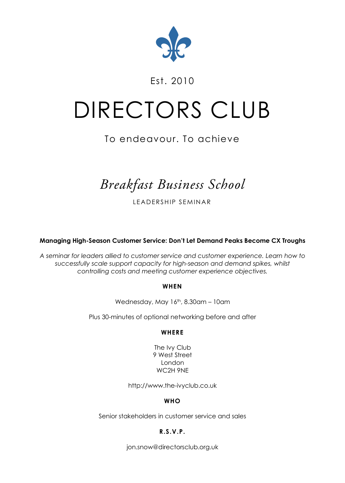

### Est. 2010

# DIRECTORS CLUB

## To endeavour. To achieve

# *Breakfast Business School*

LEADERSHIP SEMINAR

**Managing High-Season Customer Service: Don't Let Demand Peaks Become CX Troughs**

*A seminar for leaders allied to customer service and customer experience. Learn how to successfully scale support capacity for high-season and demand spikes, whilst controlling costs and meeting customer experience objectives.*

#### **WHEN**

Wednesday, May 16<sup>th</sup>, 8.30am - 10am

Plus 30-minutes of optional networking before and after

#### **WHERE**

The Ivy Club 9 West Street London WC2H 9NE

http://www.the-ivyclub.co.uk

#### **WHO**

Senior stakeholders in customer service and sales

#### **R.S.V.P.**

jon.snow@directorsclub.org.uk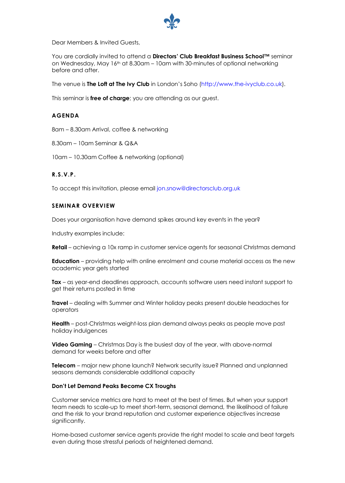

Dear Members & Invited Guests,

You are cordially invited to attend a **Directors' Club Breakfast Business School™** seminar on Wednesday, May 16th at 8.30am – 10am with 30-minutes of optional networking before and after.

The venue is **The Loft at The Ivy Club** in London's Soho (http://www.the-ivyclub.co.uk).

This seminar is **free of charge**; you are attending as our guest.

#### **AGENDA**

8am – 8.30am Arrival, coffee & networking

8.30am – 10am Seminar & Q&A

10am – 10.30am Coffee & networking (optional)

#### **R.S.V.P.**

To accept this invitation, please email jon.snow@directorsclub.org.uk

#### **SEMINAR OVERVIEW**

Does your organisation have demand spikes around key events in the year?

Industry examples include:

**Retail** – achieving a 10x ramp in customer service agents for seasonal Christmas demand

**Education** – providing help with online enrolment and course material access as the new academic year gets started

**Tax** – as year-end deadlines approach, accounts software users need instant support to get their returns posted in time

**Travel** – dealing with Summer and Winter holiday peaks present double headaches for operators

**Health** – post-Christmas weight-loss plan demand always peaks as people move past holiday indulgences

**Video Gaming** – Christmas Day is the busiest day of the year, with above-normal demand for weeks before and after

**Telecom** – major new phone launch? Network security issue? Planned and unplanned seasons demands considerable additional capacity

#### **Don't Let Demand Peaks Become CX Troughs**

Customer service metrics are hard to meet at the best of times. But when your support team needs to scale-up to meet short-term, seasonal demand, the likelihood of failure and the risk to your brand reputation and customer experience objectives increase significantly.

Home-based customer service agents provide the right model to scale and beat targets even during those stressful periods of heightened demand.